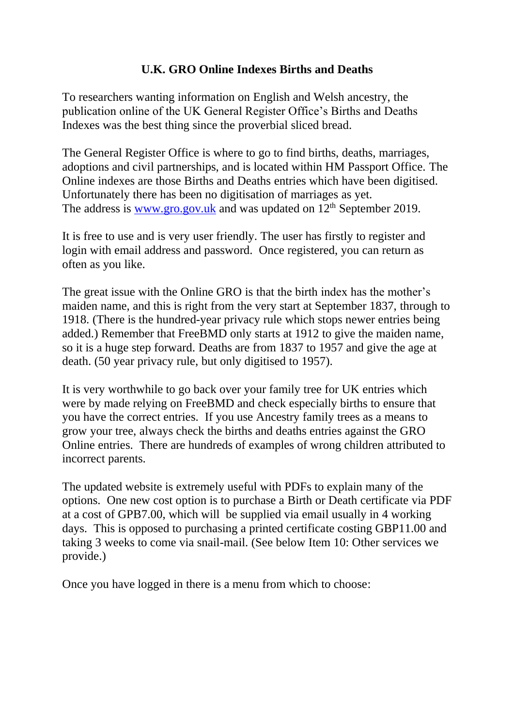# **U.K. GRO Online Indexes Births and Deaths**

To researchers wanting information on English and Welsh ancestry, the publication online of the UK General Register Office's Births and Deaths Indexes was the best thing since the proverbial sliced bread.

The General Register Office is where to go to find births, deaths, marriages, adoptions and civil partnerships, and is located within HM Passport Office. The Online indexes are those Births and Deaths entries which have been digitised. Unfortunately there has been no digitisation of marriages as yet. The address is [www.gro.gov.uk](http://www.gro.gov.uk/) and was updated on  $12<sup>th</sup>$  September 2019.

It is free to use and is very user friendly. The user has firstly to register and login with email address and password. Once registered, you can return as often as you like.

The great issue with the Online GRO is that the birth index has the mother's maiden name, and this is right from the very start at September 1837, through to 1918. (There is the hundred-year privacy rule which stops newer entries being added.) Remember that FreeBMD only starts at 1912 to give the maiden name, so it is a huge step forward. Deaths are from 1837 to 1957 and give the age at death. (50 year privacy rule, but only digitised to 1957).

It is very worthwhile to go back over your family tree for UK entries which were by made relying on FreeBMD and check especially births to ensure that you have the correct entries. If you use Ancestry family trees as a means to grow your tree, always check the births and deaths entries against the GRO Online entries. There are hundreds of examples of wrong children attributed to incorrect parents.

The updated website is extremely useful with PDFs to explain many of the options. One new cost option is to purchase a Birth or Death certificate via PDF at a cost of GPB7.00, which will be supplied via email usually in 4 working days. This is opposed to purchasing a printed certificate costing GBP11.00 and taking 3 weeks to come via snail-mail. (See below Item 10: Other services we provide.)

Once you have logged in there is a menu from which to choose: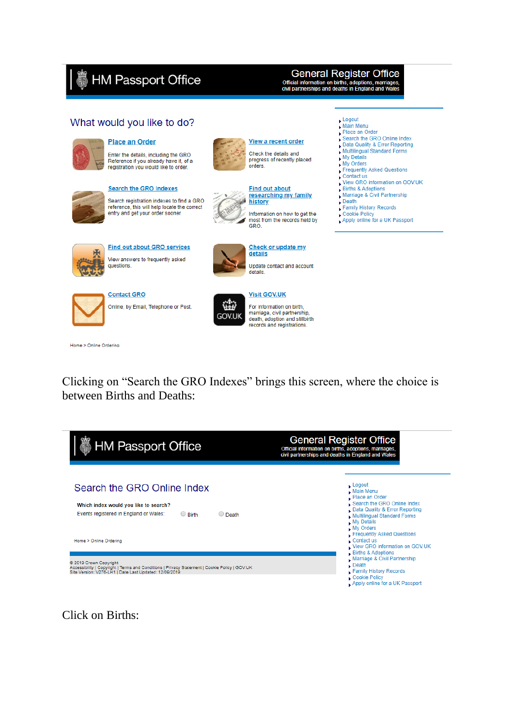# HM Passport Office

## **General Register Office**

Official information on births, adoptions, marriages,<br>civil partnerships and deaths in England and Wales

## What would you like to do?



### Place an Order

Enter the details, including the GRO Reference if you already have it, of a registration you would like to order.

**Search the GRO Indexes** 

Search registration indexes to find a GRO

reference, this will help locate the correct entry and get your order sooner.



#### View a recent order Check the details and progress of recently placed orders.



researching my family history. Information on how to get the

most from the records held by<br>GRO.



**Find out about GRO services** View answers to frequently asked questions.



Check or update my details Update contact and account details.



**Contact GRO** Online, by Email, Telephone or Post.



For information on birth. marriage, civil partnership, death, adoption and stillbirth records and registrations.

Home > Online Ordering

Clicking on "Search the GRO Indexes" brings this screen, where the choice is between Births and Deaths:

| <b>HM Passport Office</b>                                                                                                                                                                                 | <b>General Register Office</b><br>Official information on births, adoptions, marriages,<br>civil partnerships and deaths in England and Wales                                                                                          |
|-----------------------------------------------------------------------------------------------------------------------------------------------------------------------------------------------------------|----------------------------------------------------------------------------------------------------------------------------------------------------------------------------------------------------------------------------------------|
| Search the GRO Online Index<br>Which index would you like to search?<br>Events registered in England or Wales:<br>$\bigcirc$ Birth<br>$\bigcirc$ Death                                                    | $\mathsf{Logout}$<br>$\blacktriangleright$ Main Menu<br>Place an Order<br>Search the GRO Online Index<br>Data Quality & Error Reporting<br><b>Multilingual Standard Forms</b><br>My Details<br>My Orders<br>Frequently Asked Questions |
| Home > Online Ordering<br>2019 Crown Copyright<br>Accessibility   Copyright   Terms and Conditions   Privacy Statement   Cookie Policy   GOV.UK<br>Site Version: V276-LH1   Date Last Updated: 12/09/2019 | Contact us<br>View GRO information on GOV.UK<br>Births & Adoptions<br>Marriage & Civil Partnership<br>$\Box$ Death<br>Family History Records<br>Cookie Policy<br>Apply online for a UK Passport                                        |

Click on Births:

Logout

- 
- Main Menu<br>Place an Order
- Search the GRO Online Index
- Data Quality & Error Reporting<br>Multilingual Standard Forms
- My Details
- My Orders
- Frequently Asked Questions
- Contact us<br>View GRO information on GOV.UK
- Births & Adoptions<br>Marriage & Civil Partnership
- 
- $Death$ Family History Records
- Cookie Policy
- Apply online for a UK Passport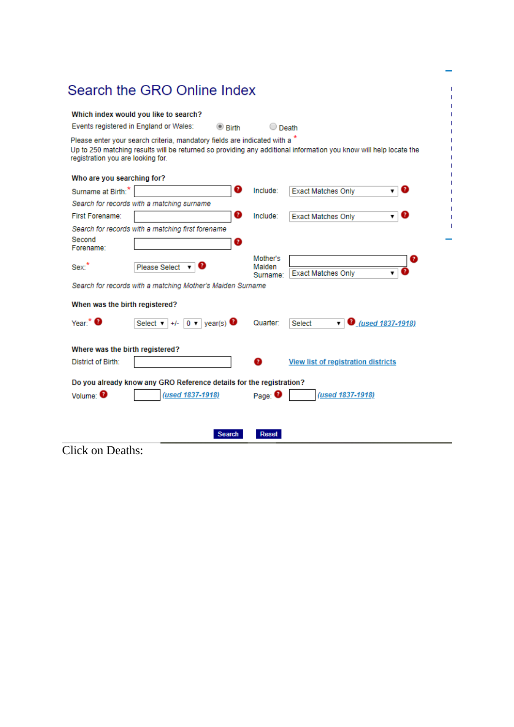|                                   | Which index would you like to search?                                      |                 |                                |                                                                                                                   |
|-----------------------------------|----------------------------------------------------------------------------|-----------------|--------------------------------|-------------------------------------------------------------------------------------------------------------------|
|                                   | Events registered in England or Wales:                                     | $\bullet$ Rirth | $\bigcirc$ Death               |                                                                                                                   |
| registration you are looking for. | Please enter your search criteria, mandatory fields are indicated with a * |                 |                                | Up to 250 matching results will be returned so providing any additional information you know will help locate the |
| Who are you searching for?        |                                                                            |                 |                                |                                                                                                                   |
| Surname at Birth:"                |                                                                            | ๏               | Include:                       | ø<br><b>Exact Matches Only</b><br>۷.                                                                              |
|                                   | Search for records with a matching surname                                 |                 |                                |                                                                                                                   |
| First Forename:                   |                                                                            | Ø               | Include:                       | ø<br><b>Exact Matches Only</b><br>۰.                                                                              |
|                                   | Search for records with a matching first forename                          |                 |                                |                                                                                                                   |
| Second<br>Forename:               |                                                                            | ๏               |                                |                                                                                                                   |
| Sex.                              | Please Select                                                              |                 | Mother's<br>Maiden<br>Surname: | 7<br><b>Exact Matches Only</b><br>▼                                                                               |
|                                   | Search for records with a matching Mother's Maiden Surname                 |                 |                                |                                                                                                                   |
|                                   | When was the birth registered?                                             |                 |                                |                                                                                                                   |
| Year: $*$ $\bullet$               | Select $\mathbf{v}$ +/- 0 $\mathbf{v}$ year(s) $\bullet$                   |                 | Quarter:                       | <b>1837-1918</b> (used 1837-1918)<br>Select<br>▼                                                                  |
|                                   | Where was the birth registered?                                            |                 |                                |                                                                                                                   |
| District of Birth:                |                                                                            |                 | Q                              | <b>View list of registration districts</b>                                                                        |
|                                   | Do you already know any GRO Reference details for the registration?        |                 |                                |                                                                                                                   |
| Volume: <sup>0</sup>              | (used 1837-1918)                                                           |                 | Page: $\bullet$                | (used 1837-1918)                                                                                                  |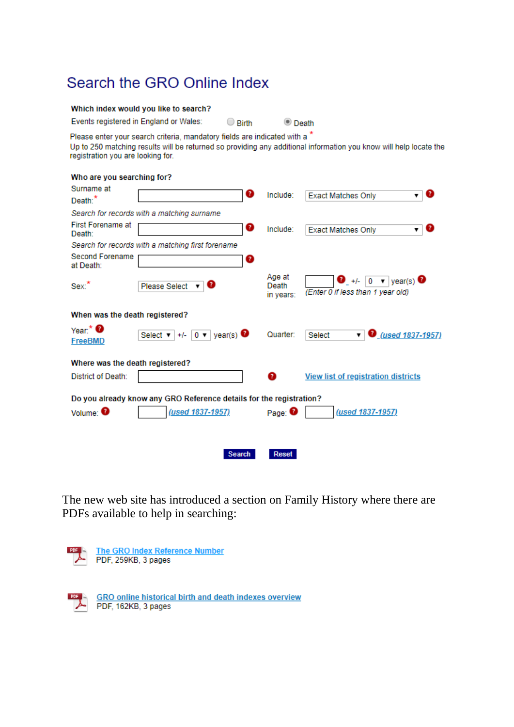# Search the GRO Online Index

| Which index would you like to search?                                      |              |                      |  |
|----------------------------------------------------------------------------|--------------|----------------------|--|
| Events registered in England or Wales:                                     | $\cup$ Rirth | $\circledcirc$ Death |  |
| Please enter your search criteria, mandatory fields are indicated with a * |              |                      |  |

Up to 250 matching results will be returned so providing any additional information you know will help locate the registration you are looking for.

### Who are you searching for?

| Surname at                                                          | Q                                                          | Include:                     | Q<br><b>Exact Matches Only</b><br>▼                                              |  |
|---------------------------------------------------------------------|------------------------------------------------------------|------------------------------|----------------------------------------------------------------------------------|--|
| Death: <sup>*</sup>                                                 |                                                            |                              |                                                                                  |  |
|                                                                     | Search for records with a matching surname                 |                              |                                                                                  |  |
| <b>First Forename at</b><br>Death:                                  | ❸                                                          | Include:                     | <b>Exact Matches Only</b>                                                        |  |
|                                                                     | Search for records with a matching first forename          |                              |                                                                                  |  |
| Second Forename<br>at Death:                                        | ❸                                                          |                              |                                                                                  |  |
| Sex.                                                                | ø<br><b>Please Select</b>                                  | Age at<br>Death<br>in years: | $\bullet$ +/- 0 $\bullet$ year(s) $\bullet$<br>(Enter 0 if less than 1 year old) |  |
| When was the death registered?                                      |                                                            |                              |                                                                                  |  |
| Year: $\bullet$<br><b>FreeBMD</b>                                   | $+/-$ 0 $\bullet$ year(s) $\bullet$<br>Select $\mathbf{v}$ | Quarter:                     | <b>D</b> <sub>_(used 1837-1957)</sub><br>Select<br>7                             |  |
| Where was the death registered?                                     |                                                            |                              |                                                                                  |  |
| <b>District of Death:</b>                                           |                                                            | Q                            | <b>View list of registration districts</b>                                       |  |
| Do you already know any GRO Reference details for the registration? |                                                            |                              |                                                                                  |  |
| Volume: <sup>0</sup>                                                | (used 1837-1957)                                           | Page: $\bullet$              | (used 1837-1957)                                                                 |  |
|                                                                     |                                                            |                              |                                                                                  |  |
|                                                                     | <b>Search</b>                                              | Reset                        |                                                                                  |  |
|                                                                     |                                                            |                              |                                                                                  |  |

The new web site has introduced a section on Family History where there are PDFs available to help in searching:

| The GRO Index Reference Number<br>PDF, 259KB, 3 pages |
|-------------------------------------------------------|
|                                                       |

**GRO online historical birth and death indexes overview** PDF, 162KB, 3 pages